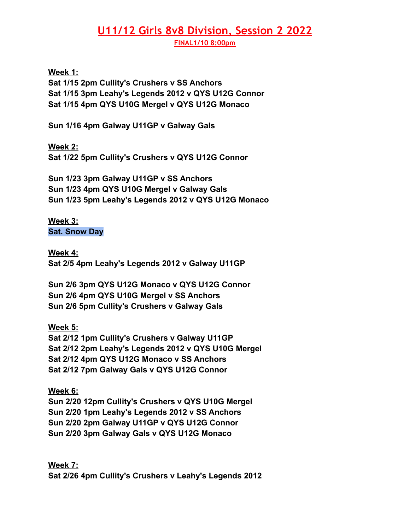## **U11/12 Girls 8v8 Division, Session 2 2022**

**FINAL1/10 8:00pm**

**Week 1:**

**Sat 1/15 2pm Cullity's Crushers v SS Anchors Sat 1/15 3pm Leahy's Legends 2012 v QYS U12G Connor Sat 1/15 4pm QYS U10G Mergel v QYS U12G Monaco**

**Sun 1/16 4pm Galway U11GP v Galway Gals**

**Week 2: Sat 1/22 5pm Cullity's Crushers v QYS U12G Connor**

**Sun 1/23 3pm Galway U11GP v SS Anchors Sun 1/23 4pm QYS U10G Mergel v Galway Gals Sun 1/23 5pm Leahy's Legends 2012 v QYS U12G Monaco**

**Week 3: Sat. Snow Day**

**Week 4: Sat 2/5 4pm Leahy's Legends 2012 v Galway U11GP**

**Sun 2/6 3pm QYS U12G Monaco v QYS U12G Connor Sun 2/6 4pm QYS U10G Mergel v SS Anchors Sun 2/6 5pm Cullity's Crushers v Galway Gals**

**Week 5:**

**Sat 2/12 1pm Cullity's Crushers v Galway U11GP Sat 2/12 2pm Leahy's Legends 2012 v QYS U10G Mergel Sat 2/12 4pm QYS U12G Monaco v SS Anchors Sat 2/12 7pm Galway Gals v QYS U12G Connor**

**Week 6: Sun 2/20 12pm Cullity's Crushers v QYS U10G Mergel Sun 2/20 1pm Leahy's Legends 2012 v SS Anchors Sun 2/20 2pm Galway U11GP v QYS U12G Connor Sun 2/20 3pm Galway Gals v QYS U12G Monaco**

**Week 7: Sat 2/26 4pm Cullity's Crushers v Leahy's Legends 2012**